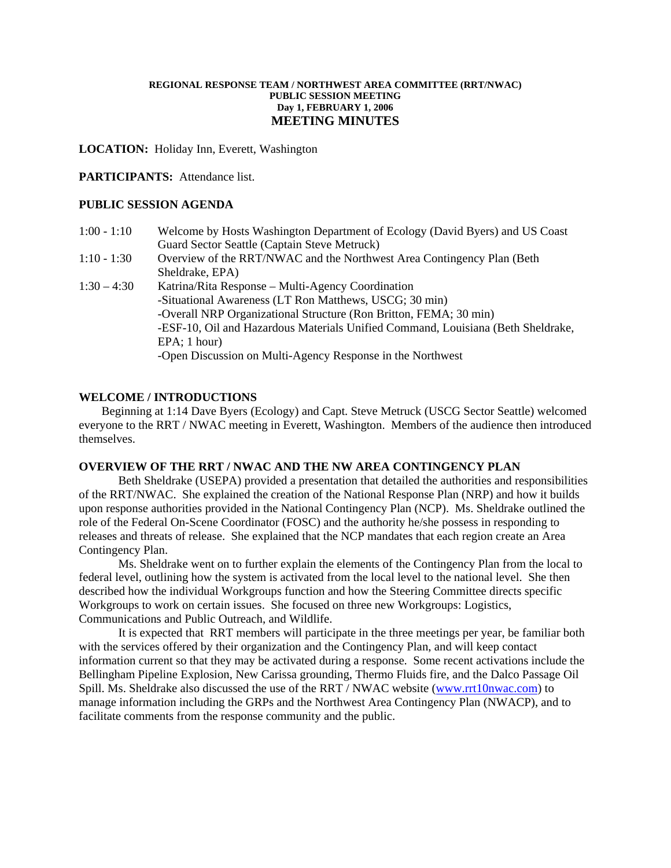#### **REGIONAL RESPONSE TEAM / NORTHWEST AREA COMMITTEE (RRT/NWAC) PUBLIC SESSION MEETING Day 1, FEBRUARY 1, 2006 MEETING MINUTES**

**LOCATION:** Holiday Inn, Everett, Washington

### **PARTICIPANTS:** Attendance list.

### **PUBLIC SESSION AGENDA**

| $1:00 - 1:10$ | Welcome by Hosts Washington Department of Ecology (David Byers) and US Coast     |
|---------------|----------------------------------------------------------------------------------|
|               | Guard Sector Seattle (Captain Steve Metruck)                                     |
| $1:10 - 1:30$ | Overview of the RRT/NWAC and the Northwest Area Contingency Plan (Beth)          |
|               | Sheldrake, EPA)                                                                  |
| $1:30 - 4:30$ | Katrina/Rita Response – Multi-Agency Coordination                                |
|               | -Situational Awareness (LT Ron Matthews, USCG; 30 min)                           |
|               | -Overall NRP Organizational Structure (Ron Britton, FEMA; 30 min)                |
|               | -ESF-10, Oil and Hazardous Materials Unified Command, Louisiana (Beth Sheldrake, |
|               | $EPA$ ; 1 hour)                                                                  |
|               | -Open Discussion on Multi-Agency Response in the Northwest                       |

## **WELCOME / INTRODUCTIONS**

 Beginning at 1:14 Dave Byers (Ecology) and Capt. Steve Metruck (USCG Sector Seattle) welcomed everyone to the RRT / NWAC meeting in Everett, Washington. Members of the audience then introduced themselves.

### **OVERVIEW OF THE RRT / NWAC AND THE NW AREA CONTINGENCY PLAN**

 Beth Sheldrake (USEPA) provided a presentation that detailed the authorities and responsibilities of the RRT/NWAC. She explained the creation of the National Response Plan (NRP) and how it builds upon response authorities provided in the National Contingency Plan (NCP). Ms. Sheldrake outlined the role of the Federal On-Scene Coordinator (FOSC) and the authority he/she possess in responding to releases and threats of release. She explained that the NCP mandates that each region create an Area Contingency Plan.

 Ms. Sheldrake went on to further explain the elements of the Contingency Plan from the local to federal level, outlining how the system is activated from the local level to the national level. She then described how the individual Workgroups function and how the Steering Committee directs specific Workgroups to work on certain issues. She focused on three new Workgroups: Logistics, Communications and Public Outreach, and Wildlife.

It is expected that RRT members will participate in the three meetings per year, be familiar both with the services offered by their organization and the Contingency Plan, and will keep contact information current so that they may be activated during a response. Some recent activations include the Bellingham Pipeline Explosion, New Carissa grounding, Thermo Fluids fire, and the Dalco Passage Oil Spill. Ms. Sheldrake also discussed the use of the RRT / NWAC website ([www.rrt10nwac.com\)](http://www.rrt10nwac.com/) to manage information including the GRPs and the Northwest Area Contingency Plan (NWACP), and to facilitate comments from the response community and the public.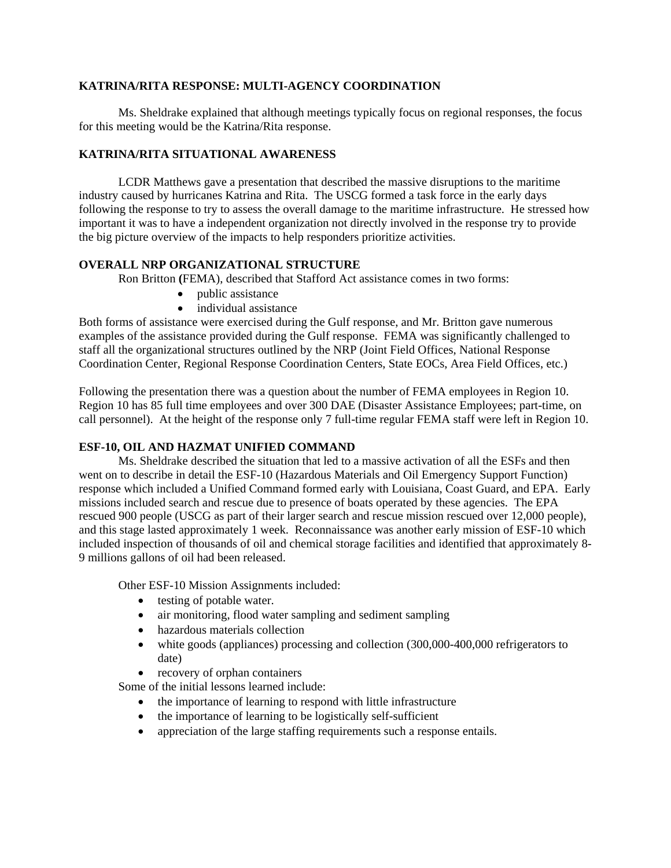## **KATRINA/RITA RESPONSE: MULTI-AGENCY COORDINATION**

Ms. Sheldrake explained that although meetings typically focus on regional responses, the focus for this meeting would be the Katrina/Rita response.

## **KATRINA/RITA SITUATIONAL AWARENESS**

LCDR Matthews gave a presentation that described the massive disruptions to the maritime industry caused by hurricanes Katrina and Rita. The USCG formed a task force in the early days following the response to try to assess the overall damage to the maritime infrastructure. He stressed how important it was to have a independent organization not directly involved in the response try to provide the big picture overview of the impacts to help responders prioritize activities.

# **OVERALL NRP ORGANIZATIONAL STRUCTURE**

Ron Britton **(**FEMA), described that Stafford Act assistance comes in two forms:

- public assistance
- individual assistance

Both forms of assistance were exercised during the Gulf response, and Mr. Britton gave numerous examples of the assistance provided during the Gulf response. FEMA was significantly challenged to staff all the organizational structures outlined by the NRP (Joint Field Offices, National Response Coordination Center, Regional Response Coordination Centers, State EOCs, Area Field Offices, etc.)

Following the presentation there was a question about the number of FEMA employees in Region 10. Region 10 has 85 full time employees and over 300 DAE (Disaster Assistance Employees; part-time, on call personnel). At the height of the response only 7 full-time regular FEMA staff were left in Region 10.

## **ESF-10, OIL AND HAZMAT UNIFIED COMMAND**

Ms. Sheldrake described the situation that led to a massive activation of all the ESFs and then went on to describe in detail the ESF-10 (Hazardous Materials and Oil Emergency Support Function) response which included a Unified Command formed early with Louisiana, Coast Guard, and EPA. Early missions included search and rescue due to presence of boats operated by these agencies. The EPA rescued 900 people (USCG as part of their larger search and rescue mission rescued over 12,000 people), and this stage lasted approximately 1 week. Reconnaissance was another early mission of ESF-10 which included inspection of thousands of oil and chemical storage facilities and identified that approximately 8- 9 millions gallons of oil had been released.

Other ESF-10 Mission Assignments included:

- testing of potable water.
- air monitoring, flood water sampling and sediment sampling
- hazardous materials collection
- white goods (appliances) processing and collection (300,000-400,000 refrigerators to date)
- recovery of orphan containers

Some of the initial lessons learned include:

- the importance of learning to respond with little infrastructure
- the importance of learning to be logistically self-sufficient
- appreciation of the large staffing requirements such a response entails.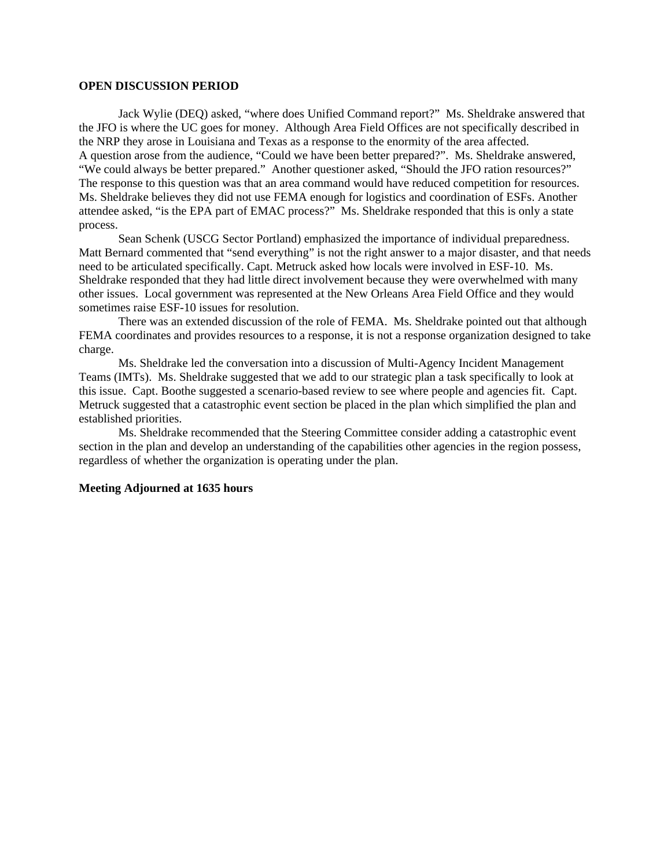#### **OPEN DISCUSSION PERIOD**

Jack Wylie (DEQ) asked, "where does Unified Command report?" Ms. Sheldrake answered that the JFO is where the UC goes for money. Although Area Field Offices are not specifically described in the NRP they arose in Louisiana and Texas as a response to the enormity of the area affected. A question arose from the audience, "Could we have been better prepared?". Ms. Sheldrake answered, "We could always be better prepared." Another questioner asked, "Should the JFO ration resources?" The response to this question was that an area command would have reduced competition for resources. Ms. Sheldrake believes they did not use FEMA enough for logistics and coordination of ESFs. Another attendee asked, "is the EPA part of EMAC process?" Ms. Sheldrake responded that this is only a state process.

 Sean Schenk (USCG Sector Portland) emphasized the importance of individual preparedness. Matt Bernard commented that "send everything" is not the right answer to a major disaster, and that needs need to be articulated specifically. Capt. Metruck asked how locals were involved in ESF-10. Ms. Sheldrake responded that they had little direct involvement because they were overwhelmed with many other issues. Local government was represented at the New Orleans Area Field Office and they would sometimes raise ESF-10 issues for resolution.

 There was an extended discussion of the role of FEMA. Ms. Sheldrake pointed out that although FEMA coordinates and provides resources to a response, it is not a response organization designed to take charge.

 Ms. Sheldrake led the conversation into a discussion of Multi-Agency Incident Management Teams (IMTs). Ms. Sheldrake suggested that we add to our strategic plan a task specifically to look at this issue. Capt. Boothe suggested a scenario-based review to see where people and agencies fit. Capt. Metruck suggested that a catastrophic event section be placed in the plan which simplified the plan and established priorities.

 Ms. Sheldrake recommended that the Steering Committee consider adding a catastrophic event section in the plan and develop an understanding of the capabilities other agencies in the region possess, regardless of whether the organization is operating under the plan.

### **Meeting Adjourned at 1635 hours**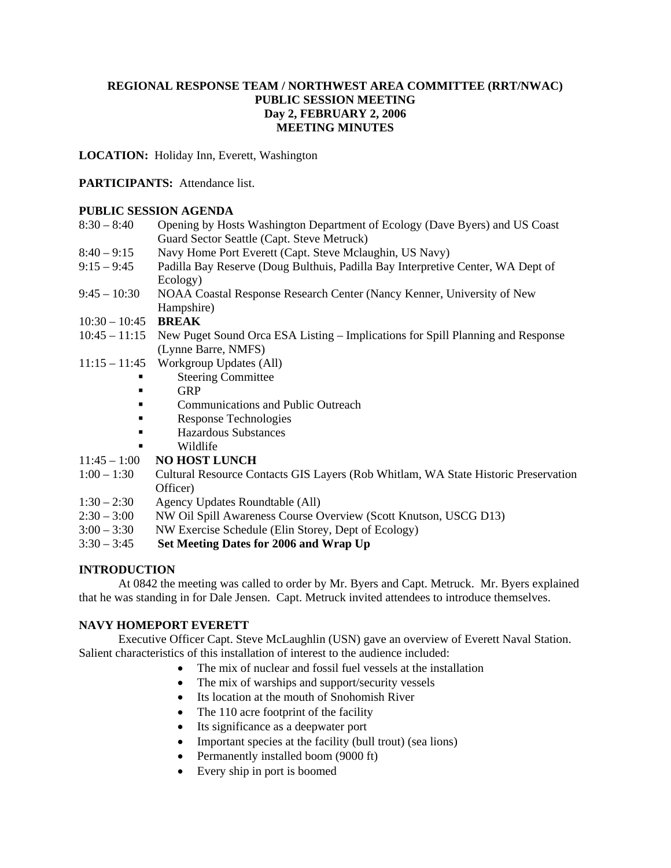# **REGIONAL RESPONSE TEAM / NORTHWEST AREA COMMITTEE (RRT/NWAC) PUBLIC SESSION MEETING Day 2, FEBRUARY 2, 2006 MEETING MINUTES**

**LOCATION:** Holiday Inn, Everett, Washington

## **PARTICIPANTS:** Attendance list.

## **PUBLIC SESSION AGENDA**

| $8:30 - 8:40$ | Opening by Hosts Washington Department of Ecology (Dave Byers) and US Coast     |
|---------------|---------------------------------------------------------------------------------|
|               | Guard Sector Seattle (Capt. Steve Metruck)                                      |
| $8:40 - 9:15$ | Navy Home Port Everett (Capt. Steve Mclaughin, US Navy)                         |
| $9:15 - 9:45$ | Padilla Bay Reserve (Doug Bulthuis, Padilla Bay Interpretive Center, WA Dept of |
|               | Ecology)                                                                        |

- 9:45 10:30 NOAA Coastal Response Research Center (Nancy Kenner, University of New Hampshire)
- 10:30 10:45 **BREAK**
- 10:45 11:15 New Puget Sound Orca ESA Listing Implications for Spill Planning and Response (Lynne Barre, NMFS)
- 11:15 11:45 Workgroup Updates (All)
	- Steering Committee
	- GRP
	- **Communications and Public Outreach**
	- Response Technologies
	- Hazardous Substances
	- Wildlife
- 11:45 1:00 **NO HOST LUNCH**
- 1:00 1:30 Cultural Resource Contacts GIS Layers (Rob Whitlam, WA State Historic Preservation Officer)
- 1:30 2:30 Agency Updates Roundtable (All)
- 2:30 3:00 NW Oil Spill Awareness Course Overview (Scott Knutson, USCG D13)
- 3:00 3:30 NW Exercise Schedule (Elin Storey, Dept of Ecology)
- 3:30 3:45 **Set Meeting Dates for 2006 and Wrap Up**

# **INTRODUCTION**

At 0842 the meeting was called to order by Mr. Byers and Capt. Metruck. Mr. Byers explained that he was standing in for Dale Jensen. Capt. Metruck invited attendees to introduce themselves.

# **NAVY HOMEPORT EVERETT**

Executive Officer Capt. Steve McLaughlin (USN) gave an overview of Everett Naval Station. Salient characteristics of this installation of interest to the audience included:

- The mix of nuclear and fossil fuel vessels at the installation
- The mix of warships and support/security vessels
- Its location at the mouth of Snohomish River
- The 110 acre footprint of the facility
- Its significance as a deepwater port
- Important species at the facility (bull trout) (sea lions)
- Permanently installed boom (9000 ft)
- Every ship in port is boomed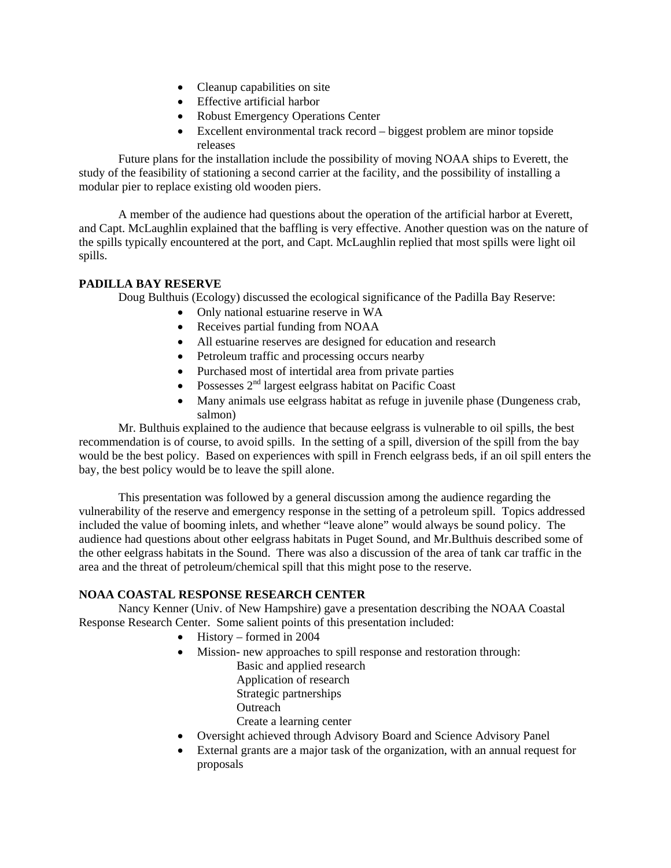- Cleanup capabilities on site
- Effective artificial harbor
- Robust Emergency Operations Center
- Excellent environmental track record biggest problem are minor topside releases

 Future plans for the installation include the possibility of moving NOAA ships to Everett, the study of the feasibility of stationing a second carrier at the facility, and the possibility of installing a modular pier to replace existing old wooden piers.

 A member of the audience had questions about the operation of the artificial harbor at Everett, and Capt. McLaughlin explained that the baffling is very effective. Another question was on the nature of the spills typically encountered at the port, and Capt. McLaughlin replied that most spills were light oil spills.

# **PADILLA BAY RESERVE**

Doug Bulthuis (Ecology) discussed the ecological significance of the Padilla Bay Reserve:

- Only national estuarine reserve in WA
- Receives partial funding from NOAA
- All estuarine reserves are designed for education and research
- Petroleum traffic and processing occurs nearby
- Purchased most of intertidal area from private parties
- Possesses  $2<sup>nd</sup>$  largest eelgrass habitat on Pacific Coast
- Many animals use eelgrass habitat as refuge in juvenile phase (Dungeness crab, salmon)

 Mr. Bulthuis explained to the audience that because eelgrass is vulnerable to oil spills, the best recommendation is of course, to avoid spills. In the setting of a spill, diversion of the spill from the bay would be the best policy. Based on experiences with spill in French eelgrass beds, if an oil spill enters the bay, the best policy would be to leave the spill alone.

 This presentation was followed by a general discussion among the audience regarding the vulnerability of the reserve and emergency response in the setting of a petroleum spill. Topics addressed included the value of booming inlets, and whether "leave alone" would always be sound policy. The audience had questions about other eelgrass habitats in Puget Sound, and Mr.Bulthuis described some of the other eelgrass habitats in the Sound. There was also a discussion of the area of tank car traffic in the area and the threat of petroleum/chemical spill that this might pose to the reserve.

## **NOAA COASTAL RESPONSE RESEARCH CENTER**

Nancy Kenner (Univ. of New Hampshire) gave a presentation describing the NOAA Coastal Response Research Center. Some salient points of this presentation included:

- History formed in 2004
- Mission- new approaches to spill response and restoration through:
	- Basic and applied research Application of research Strategic partnerships **Outreach**
	- Create a learning center
- Oversight achieved through Advisory Board and Science Advisory Panel
- External grants are a major task of the organization, with an annual request for proposals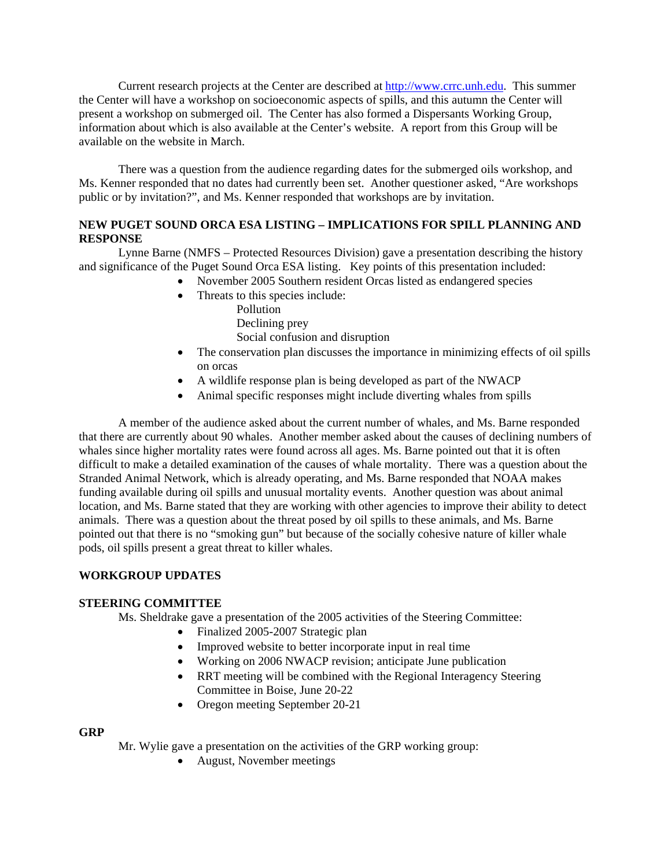Current research projects at the Center are described at [http://www.crrc.unh.edu.](http://www.crrc.unh.edu/) This summer the Center will have a workshop on socioeconomic aspects of spills, and this autumn the Center will present a workshop on submerged oil. The Center has also formed a Dispersants Working Group, information about which is also available at the Center's website. A report from this Group will be available on the website in March.

 There was a question from the audience regarding dates for the submerged oils workshop, and Ms. Kenner responded that no dates had currently been set. Another questioner asked, "Are workshops public or by invitation?", and Ms. Kenner responded that workshops are by invitation.

# **NEW PUGET SOUND ORCA ESA LISTING – IMPLICATIONS FOR SPILL PLANNING AND RESPONSE**

Lynne Barne (NMFS – Protected Resources Division) gave a presentation describing the history and significance of the Puget Sound Orca ESA listing. Key points of this presentation included:

- November 2005 Southern resident Orcas listed as endangered species
- Threats to this species include:
	- Pollution

Declining prey

Social confusion and disruption

- The conservation plan discusses the importance in minimizing effects of oil spills on orcas
- A wildlife response plan is being developed as part of the NWACP
- Animal specific responses might include diverting whales from spills

A member of the audience asked about the current number of whales, and Ms. Barne responded that there are currently about 90 whales. Another member asked about the causes of declining numbers of whales since higher mortality rates were found across all ages. Ms. Barne pointed out that it is often difficult to make a detailed examination of the causes of whale mortality. There was a question about the Stranded Animal Network, which is already operating, and Ms. Barne responded that NOAA makes funding available during oil spills and unusual mortality events. Another question was about animal location, and Ms. Barne stated that they are working with other agencies to improve their ability to detect animals. There was a question about the threat posed by oil spills to these animals, and Ms. Barne pointed out that there is no "smoking gun" but because of the socially cohesive nature of killer whale pods, oil spills present a great threat to killer whales.

# **WORKGROUP UPDATES**

## **STEERING COMMITTEE**

Ms. Sheldrake gave a presentation of the 2005 activities of the Steering Committee:

- Finalized 2005-2007 Strategic plan
- Improved website to better incorporate input in real time
- Working on 2006 NWACP revision; anticipate June publication
- RRT meeting will be combined with the Regional Interagency Steering Committee in Boise, June 20-22
- Oregon meeting September 20-21

## **GRP**

Mr. Wylie gave a presentation on the activities of the GRP working group:

• August, November meetings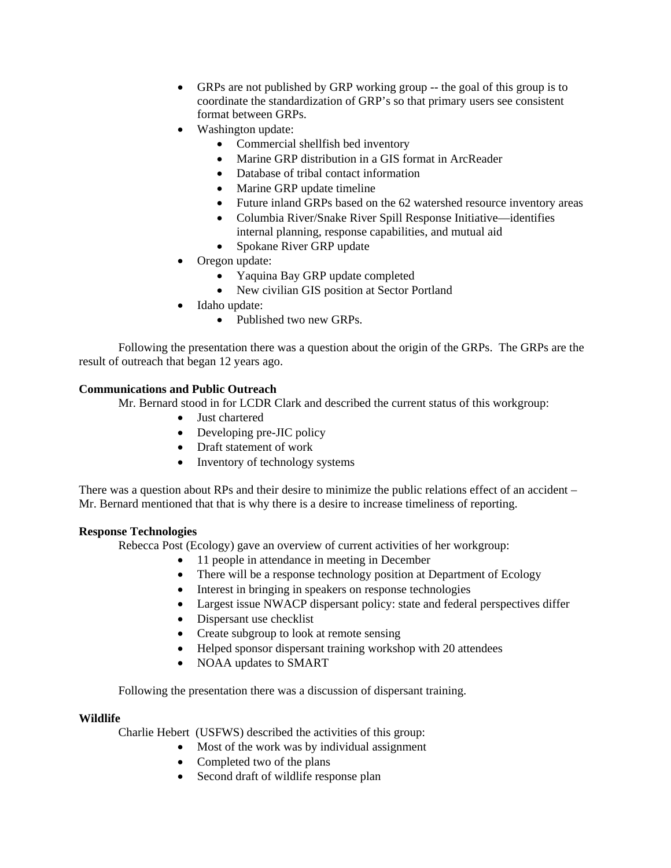- GRPs are not published by GRP working group -- the goal of this group is to coordinate the standardization of GRP's so that primary users see consistent format between GRPs.
- Washington update:
	- Commercial shellfish bed inventory
	- Marine GRP distribution in a GIS format in ArcReader
	- Database of tribal contact information
	- Marine GRP update timeline
	- Future inland GRPs based on the 62 watershed resource inventory areas
	- Columbia River/Snake River Spill Response Initiative—identifies internal planning, response capabilities, and mutual aid
	- Spokane River GRP update
- Oregon update:
	- Yaquina Bay GRP update completed
	- New civilian GIS position at Sector Portland
- Idaho update:
	- Published two new GRPs.

 Following the presentation there was a question about the origin of the GRPs. The GRPs are the result of outreach that began 12 years ago.

## **Communications and Public Outreach**

Mr. Bernard stood in for LCDR Clark and described the current status of this workgroup:

- Just chartered
- Developing pre-JIC policy
- Draft statement of work
- Inventory of technology systems

There was a question about RPs and their desire to minimize the public relations effect of an accident – Mr. Bernard mentioned that that is why there is a desire to increase timeliness of reporting.

## **Response Technologies**

Rebecca Post (Ecology) gave an overview of current activities of her workgroup:

- 11 people in attendance in meeting in December
- There will be a response technology position at Department of Ecology
- Interest in bringing in speakers on response technologies
- Largest issue NWACP dispersant policy: state and federal perspectives differ
- Dispersant use checklist
- Create subgroup to look at remote sensing
- Helped sponsor dispersant training workshop with 20 attendees
- NOAA updates to SMART

Following the presentation there was a discussion of dispersant training.

## **Wildlife**

Charlie Hebert (USFWS) described the activities of this group:

- Most of the work was by individual assignment
- Completed two of the plans
- Second draft of wildlife response plan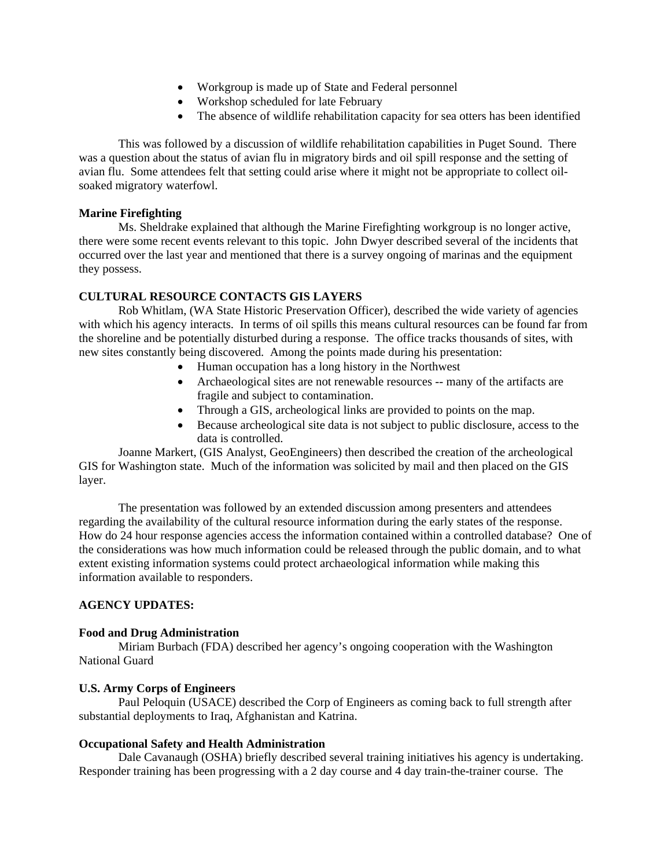- Workgroup is made up of State and Federal personnel
- Workshop scheduled for late February
- The absence of wildlife rehabilitation capacity for sea otters has been identified

This was followed by a discussion of wildlife rehabilitation capabilities in Puget Sound. There was a question about the status of avian flu in migratory birds and oil spill response and the setting of avian flu. Some attendees felt that setting could arise where it might not be appropriate to collect oilsoaked migratory waterfowl.

## **Marine Firefighting**

Ms. Sheldrake explained that although the Marine Firefighting workgroup is no longer active, there were some recent events relevant to this topic. John Dwyer described several of the incidents that occurred over the last year and mentioned that there is a survey ongoing of marinas and the equipment they possess.

## **CULTURAL RESOURCE CONTACTS GIS LAYERS**

Rob Whitlam, (WA State Historic Preservation Officer), described the wide variety of agencies with which his agency interacts. In terms of oil spills this means cultural resources can be found far from the shoreline and be potentially disturbed during a response. The office tracks thousands of sites, with new sites constantly being discovered. Among the points made during his presentation:

- Human occupation has a long history in the Northwest
- Archaeological sites are not renewable resources -- many of the artifacts are fragile and subject to contamination.
- Through a GIS, archeological links are provided to points on the map.
- Because archeological site data is not subject to public disclosure, access to the data is controlled.

 Joanne Markert, (GIS Analyst, GeoEngineers) then described the creation of the archeological GIS for Washington state. Much of the information was solicited by mail and then placed on the GIS layer.

 The presentation was followed by an extended discussion among presenters and attendees regarding the availability of the cultural resource information during the early states of the response. How do 24 hour response agencies access the information contained within a controlled database? One of the considerations was how much information could be released through the public domain, and to what extent existing information systems could protect archaeological information while making this information available to responders.

## **AGENCY UPDATES:**

#### **Food and Drug Administration**

Miriam Burbach (FDA) described her agency's ongoing cooperation with the Washington National Guard

#### **U.S. Army Corps of Engineers**

Paul Peloquin (USACE) described the Corp of Engineers as coming back to full strength after substantial deployments to Iraq, Afghanistan and Katrina.

#### **Occupational Safety and Health Administration**

Dale Cavanaugh (OSHA) briefly described several training initiatives his agency is undertaking. Responder training has been progressing with a 2 day course and 4 day train-the-trainer course. The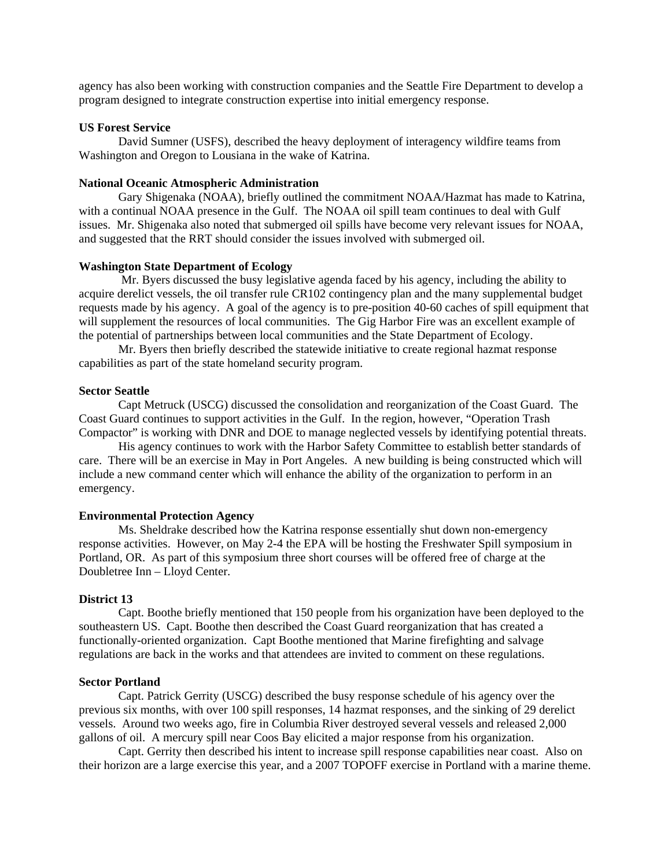agency has also been working with construction companies and the Seattle Fire Department to develop a program designed to integrate construction expertise into initial emergency response.

#### **US Forest Service**

David Sumner (USFS), described the heavy deployment of interagency wildfire teams from Washington and Oregon to Lousiana in the wake of Katrina.

### **National Oceanic Atmospheric Administration**

Gary Shigenaka (NOAA), briefly outlined the commitment NOAA/Hazmat has made to Katrina, with a continual NOAA presence in the Gulf. The NOAA oil spill team continues to deal with Gulf issues. Mr. Shigenaka also noted that submerged oil spills have become very relevant issues for NOAA, and suggested that the RRT should consider the issues involved with submerged oil.

#### **Washington State Department of Ecology**

 Mr. Byers discussed the busy legislative agenda faced by his agency, including the ability to acquire derelict vessels, the oil transfer rule CR102 contingency plan and the many supplemental budget requests made by his agency. A goal of the agency is to pre-position 40-60 caches of spill equipment that will supplement the resources of local communities. The Gig Harbor Fire was an excellent example of the potential of partnerships between local communities and the State Department of Ecology.

 Mr. Byers then briefly described the statewide initiative to create regional hazmat response capabilities as part of the state homeland security program.

#### **Sector Seattle**

Capt Metruck (USCG) discussed the consolidation and reorganization of the Coast Guard. The Coast Guard continues to support activities in the Gulf. In the region, however, "Operation Trash Compactor" is working with DNR and DOE to manage neglected vessels by identifying potential threats.

 His agency continues to work with the Harbor Safety Committee to establish better standards of care. There will be an exercise in May in Port Angeles. A new building is being constructed which will include a new command center which will enhance the ability of the organization to perform in an emergency.

#### **Environmental Protection Agency**

Ms. Sheldrake described how the Katrina response essentially shut down non-emergency response activities. However, on May 2-4 the EPA will be hosting the Freshwater Spill symposium in Portland, OR. As part of this symposium three short courses will be offered free of charge at the Doubletree Inn – Lloyd Center.

#### **District 13**

Capt. Boothe briefly mentioned that 150 people from his organization have been deployed to the southeastern US. Capt. Boothe then described the Coast Guard reorganization that has created a functionally-oriented organization. Capt Boothe mentioned that Marine firefighting and salvage regulations are back in the works and that attendees are invited to comment on these regulations.

#### **Sector Portland**

Capt. Patrick Gerrity (USCG) described the busy response schedule of his agency over the previous six months, with over 100 spill responses, 14 hazmat responses, and the sinking of 29 derelict vessels. Around two weeks ago, fire in Columbia River destroyed several vessels and released 2,000 gallons of oil. A mercury spill near Coos Bay elicited a major response from his organization.

 Capt. Gerrity then described his intent to increase spill response capabilities near coast. Also on their horizon are a large exercise this year, and a 2007 TOPOFF exercise in Portland with a marine theme.